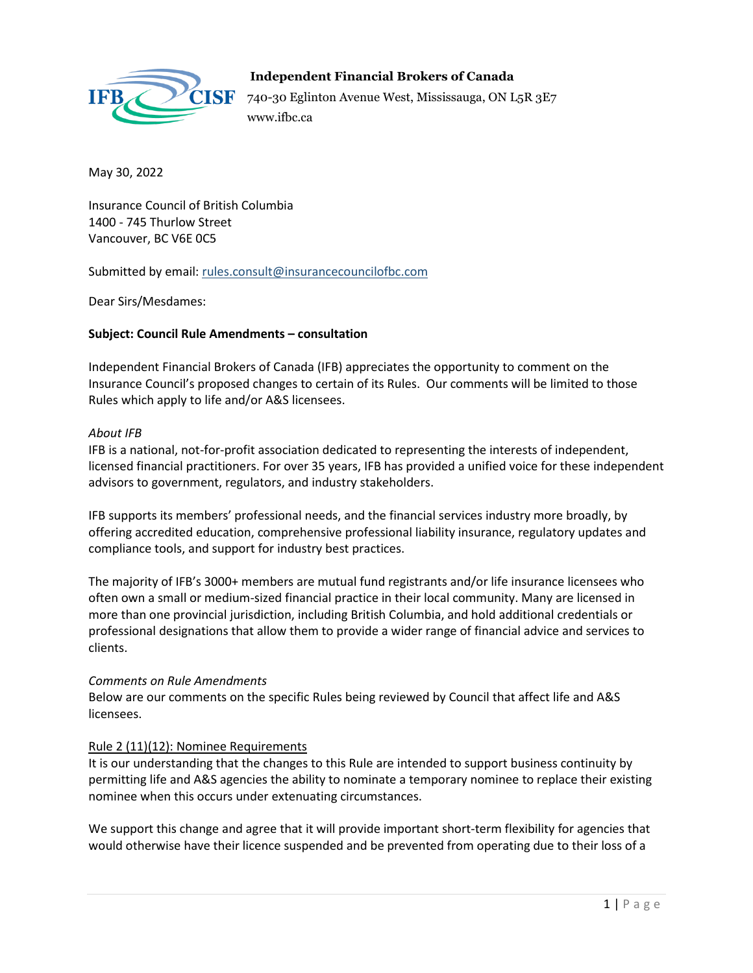

# **Independent Financial Brokers of Canada**

740-30 Eglinton Avenue West, Mississauga, ON L5R 3E7 www.ifbc.ca

May 30, 2022

Insurance Council of British Columbia 1400 - 745 Thurlow Street Vancouver, BC V6E 0C5

Submitted by email: [rules.consult@insurancecouncilofbc.com](mailto:rules.consult@insurancecouncilofbc.com)

Dear Sirs/Mesdames:

## **Subject: Council Rule Amendments – consultation**

Independent Financial Brokers of Canada (IFB) appreciates the opportunity to comment on the Insurance Council's proposed changes to certain of its Rules. Our comments will be limited to those Rules which apply to life and/or A&S licensees.

#### *About IFB*

IFB is a national, not-for-profit association dedicated to representing the interests of independent, licensed financial practitioners. For over 35 years, IFB has provided a unified voice for these independent advisors to government, regulators, and industry stakeholders.

IFB supports its members' professional needs, and the financial services industry more broadly, by offering accredited education, comprehensive professional liability insurance, regulatory updates and compliance tools, and support for industry best practices.

The majority of IFB's 3000+ members are mutual fund registrants and/or life insurance licensees who often own a small or medium-sized financial practice in their local community. Many are licensed in more than one provincial jurisdiction, including British Columbia, and hold additional credentials or professional designations that allow them to provide a wider range of financial advice and services to clients.

#### *Comments on Rule Amendments*

Below are our comments on the specific Rules being reviewed by Council that affect life and A&S licensees.

# Rule 2 (11)(12): Nominee Requirements

It is our understanding that the changes to this Rule are intended to support business continuity by permitting life and A&S agencies the ability to nominate a temporary nominee to replace their existing nominee when this occurs under extenuating circumstances.

We support this change and agree that it will provide important short-term flexibility for agencies that would otherwise have their licence suspended and be prevented from operating due to their loss of a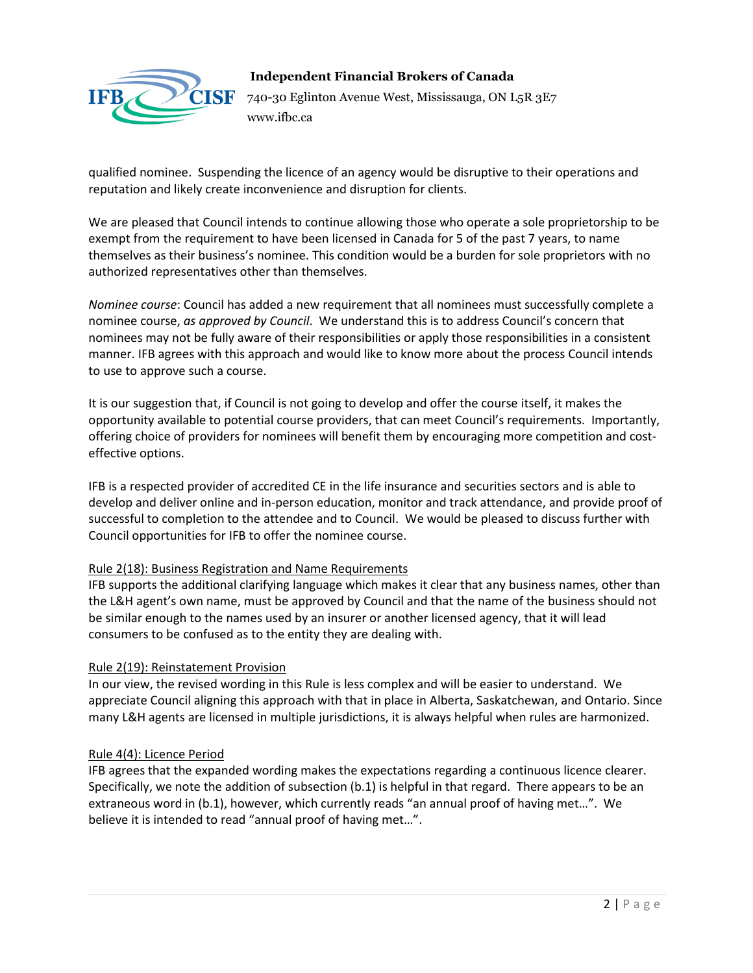

## **Independent Financial Brokers of Canada**

740-30 Eglinton Avenue West, Mississauga, ON L5R 3E7 www.ifbc.ca

qualified nominee. Suspending the licence of an agency would be disruptive to their operations and reputation and likely create inconvenience and disruption for clients.

We are pleased that Council intends to continue allowing those who operate a sole proprietorship to be exempt from the requirement to have been licensed in Canada for 5 of the past 7 years, to name themselves as their business's nominee. This condition would be a burden for sole proprietors with no authorized representatives other than themselves.

*Nominee course*: Council has added a new requirement that all nominees must successfully complete a nominee course, *as approved by Council*. We understand this is to address Council's concern that nominees may not be fully aware of their responsibilities or apply those responsibilities in a consistent manner. IFB agrees with this approach and would like to know more about the process Council intends to use to approve such a course.

It is our suggestion that, if Council is not going to develop and offer the course itself, it makes the opportunity available to potential course providers, that can meet Council's requirements. Importantly, offering choice of providers for nominees will benefit them by encouraging more competition and costeffective options.

IFB is a respected provider of accredited CE in the life insurance and securities sectors and is able to develop and deliver online and in-person education, monitor and track attendance, and provide proof of successful to completion to the attendee and to Council. We would be pleased to discuss further with Council opportunities for IFB to offer the nominee course.

#### Rule 2(18): Business Registration and Name Requirements

IFB supports the additional clarifying language which makes it clear that any business names, other than the L&H agent's own name, must be approved by Council and that the name of the business should not be similar enough to the names used by an insurer or another licensed agency, that it will lead consumers to be confused as to the entity they are dealing with.

#### Rule 2(19): Reinstatement Provision

In our view, the revised wording in this Rule is less complex and will be easier to understand. We appreciate Council aligning this approach with that in place in Alberta, Saskatchewan, and Ontario. Since many L&H agents are licensed in multiple jurisdictions, it is always helpful when rules are harmonized.

#### Rule 4(4): Licence Period

IFB agrees that the expanded wording makes the expectations regarding a continuous licence clearer. Specifically, we note the addition of subsection (b.1) is helpful in that regard. There appears to be an extraneous word in (b.1), however, which currently reads "an annual proof of having met…". We believe it is intended to read "annual proof of having met…".